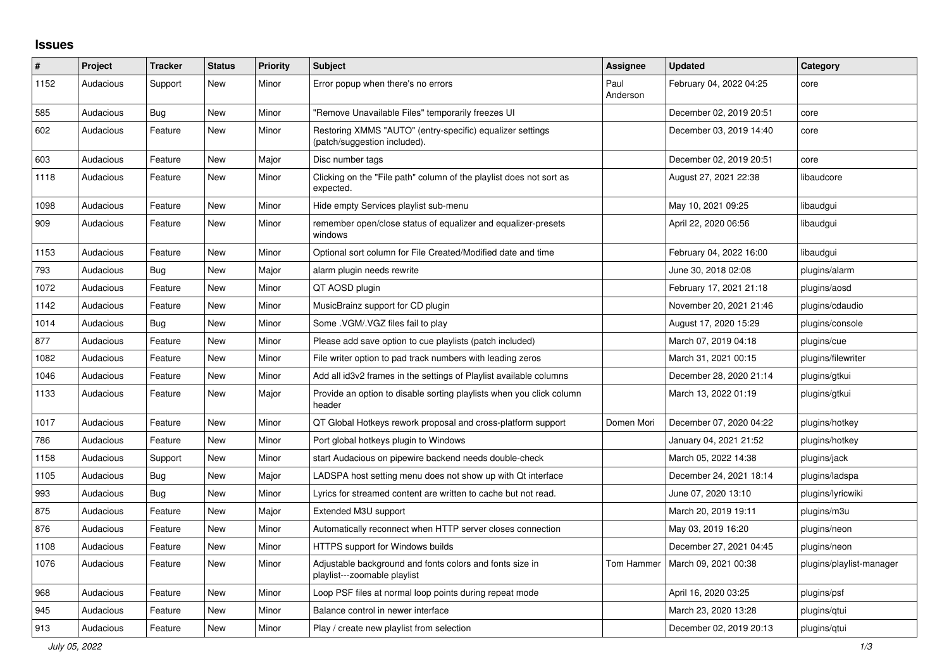## **Issues**

| #    | Project   | <b>Tracker</b> | <b>Status</b> | <b>Priority</b> | <b>Subject</b>                                                                            | <b>Assignee</b>  | <b>Updated</b>          | Category                 |
|------|-----------|----------------|---------------|-----------------|-------------------------------------------------------------------------------------------|------------------|-------------------------|--------------------------|
| 1152 | Audacious | Support        | <b>New</b>    | Minor           | Error popup when there's no errors                                                        | Paul<br>Anderson | February 04, 2022 04:25 | core                     |
| 585  | Audacious | Bug            | <b>New</b>    | Minor           | "Remove Unavailable Files" temporarily freezes UI                                         |                  | December 02, 2019 20:51 | core                     |
| 602  | Audacious | Feature        | <b>New</b>    | Minor           | Restoring XMMS "AUTO" (entry-specific) equalizer settings<br>(patch/suggestion included). |                  | December 03, 2019 14:40 | core                     |
| 603  | Audacious | Feature        | <b>New</b>    | Major           | Disc number tags                                                                          |                  | December 02, 2019 20:51 | core                     |
| 1118 | Audacious | Feature        | <b>New</b>    | Minor           | Clicking on the "File path" column of the playlist does not sort as<br>expected.          |                  | August 27, 2021 22:38   | libaudcore               |
| 1098 | Audacious | Feature        | New           | Minor           | Hide empty Services playlist sub-menu                                                     |                  | May 10, 2021 09:25      | libaudgui                |
| 909  | Audacious | Feature        | New           | Minor           | remember open/close status of equalizer and equalizer-presets<br>windows                  |                  | April 22, 2020 06:56    | libaudgui                |
| 1153 | Audacious | Feature        | <b>New</b>    | Minor           | Optional sort column for File Created/Modified date and time                              |                  | February 04, 2022 16:00 | libaudgui                |
| 793  | Audacious | Bug            | <b>New</b>    | Major           | alarm plugin needs rewrite                                                                |                  | June 30, 2018 02:08     | plugins/alarm            |
| 1072 | Audacious | Feature        | <b>New</b>    | Minor           | QT AOSD plugin                                                                            |                  | February 17, 2021 21:18 | plugins/aosd             |
| 1142 | Audacious | Feature        | <b>New</b>    | Minor           | MusicBrainz support for CD plugin                                                         |                  | November 20, 2021 21:46 | plugins/cdaudio          |
| 1014 | Audacious | <b>Bug</b>     | <b>New</b>    | Minor           | Some .VGM/.VGZ files fail to play                                                         |                  | August 17, 2020 15:29   | plugins/console          |
| 877  | Audacious | Feature        | <b>New</b>    | Minor           | Please add save option to cue playlists (patch included)                                  |                  | March 07, 2019 04:18    | plugins/cue              |
| 1082 | Audacious | Feature        | <b>New</b>    | Minor           | File writer option to pad track numbers with leading zeros                                |                  | March 31, 2021 00:15    | plugins/filewriter       |
| 1046 | Audacious | Feature        | New           | Minor           | Add all id3v2 frames in the settings of Playlist available columns                        |                  | December 28, 2020 21:14 | plugins/gtkui            |
| 1133 | Audacious | Feature        | <b>New</b>    | Major           | Provide an option to disable sorting playlists when you click column<br>header            |                  | March 13, 2022 01:19    | plugins/gtkui            |
| 1017 | Audacious | Feature        | New           | Minor           | QT Global Hotkeys rework proposal and cross-platform support                              | Domen Mori       | December 07, 2020 04:22 | plugins/hotkey           |
| 786  | Audacious | Feature        | <b>New</b>    | Minor           | Port global hotkeys plugin to Windows                                                     |                  | January 04, 2021 21:52  | plugins/hotkey           |
| 1158 | Audacious | Support        | <b>New</b>    | Minor           | start Audacious on pipewire backend needs double-check                                    |                  | March 05, 2022 14:38    | plugins/jack             |
| 1105 | Audacious | Bug            | <b>New</b>    | Major           | LADSPA host setting menu does not show up with Qt interface                               |                  | December 24, 2021 18:14 | plugins/ladspa           |
| 993  | Audacious | Bug            | <b>New</b>    | Minor           | Lyrics for streamed content are written to cache but not read.                            |                  | June 07, 2020 13:10     | plugins/lyricwiki        |
| 875  | Audacious | Feature        | New           | Major           | Extended M3U support                                                                      |                  | March 20, 2019 19:11    | plugins/m3u              |
| 876  | Audacious | Feature        | New           | Minor           | Automatically reconnect when HTTP server closes connection                                |                  | May 03, 2019 16:20      | plugins/neon             |
| 1108 | Audacious | Feature        | <b>New</b>    | Minor           | <b>HTTPS support for Windows builds</b>                                                   |                  | December 27, 2021 04:45 | plugins/neon             |
| 1076 | Audacious | Feature        | <b>New</b>    | Minor           | Adjustable background and fonts colors and fonts size in<br>playlist---zoomable playlist  | Tom Hammer       | March 09, 2021 00:38    | plugins/playlist-manager |
| 968  | Audacious | Feature        | New           | Minor           | Loop PSF files at normal loop points during repeat mode                                   |                  | April 16, 2020 03:25    | plugins/psf              |
| 945  | Audacious | Feature        | <b>New</b>    | Minor           | Balance control in newer interface                                                        |                  | March 23, 2020 13:28    | plugins/gtui             |
| 913  | Audacious | Feature        | <b>New</b>    | Minor           | Play / create new playlist from selection                                                 |                  | December 02, 2019 20:13 | plugins/qtui             |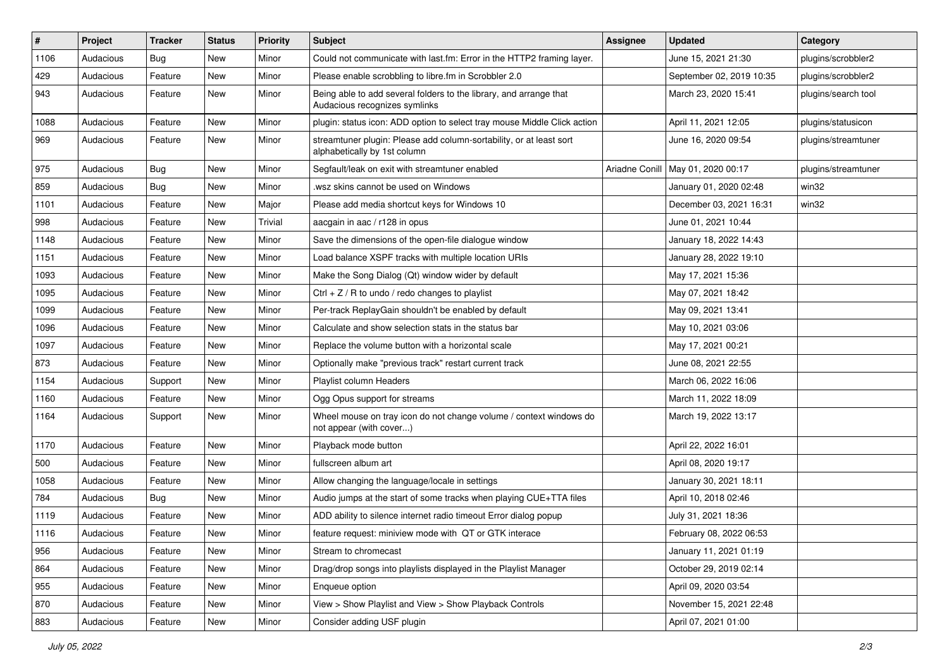| #    | Project   | <b>Tracker</b> | <b>Status</b> | <b>Priority</b> | <b>Subject</b>                                                                                      | Assignee       | <b>Updated</b>           | Category            |
|------|-----------|----------------|---------------|-----------------|-----------------------------------------------------------------------------------------------------|----------------|--------------------------|---------------------|
| 1106 | Audacious | <b>Bug</b>     | <b>New</b>    | Minor           | Could not communicate with last.fm: Error in the HTTP2 framing layer.                               |                | June 15, 2021 21:30      | plugins/scrobbler2  |
| 429  | Audacious | Feature        | New           | Minor           | Please enable scrobbling to libre.fm in Scrobbler 2.0                                               |                | September 02, 2019 10:35 | plugins/scrobbler2  |
| 943  | Audacious | Feature        | New           | Minor           | Being able to add several folders to the library, and arrange that<br>Audacious recognizes symlinks |                | March 23, 2020 15:41     | plugins/search tool |
| 1088 | Audacious | Feature        | <b>New</b>    | Minor           | plugin: status icon: ADD option to select tray mouse Middle Click action                            |                | April 11, 2021 12:05     | plugins/statusicon  |
| 969  | Audacious | Feature        | New           | Minor           | streamtuner plugin: Please add column-sortability, or at least sort<br>alphabetically by 1st column |                | June 16, 2020 09:54      | plugins/streamtuner |
| 975  | Audacious | Bug            | New           | Minor           | Segfault/leak on exit with streamtuner enabled                                                      | Ariadne Conill | May 01, 2020 00:17       | plugins/streamtuner |
| 859  | Audacious | <b>Bug</b>     | <b>New</b>    | Minor           | wsz skins cannot be used on Windows                                                                 |                | January 01, 2020 02:48   | win32               |
| 1101 | Audacious | Feature        | <b>New</b>    | Major           | Please add media shortcut keys for Windows 10                                                       |                | December 03, 2021 16:31  | win32               |
| 998  | Audacious | Feature        | New           | Trivial         | aacgain in aac / r128 in opus                                                                       |                | June 01, 2021 10:44      |                     |
| 1148 | Audacious | Feature        | New           | Minor           | Save the dimensions of the open-file dialogue window                                                |                | January 18, 2022 14:43   |                     |
| 1151 | Audacious | Feature        | New           | Minor           | Load balance XSPF tracks with multiple location URIs                                                |                | January 28, 2022 19:10   |                     |
| 1093 | Audacious | Feature        | New           | Minor           | Make the Song Dialog (Qt) window wider by default                                                   |                | May 17, 2021 15:36       |                     |
| 1095 | Audacious | Feature        | <b>New</b>    | Minor           | Ctrl + $Z$ / R to undo / redo changes to playlist                                                   |                | May 07, 2021 18:42       |                     |
| 1099 | Audacious | Feature        | <b>New</b>    | Minor           | Per-track ReplayGain shouldn't be enabled by default                                                |                | May 09, 2021 13:41       |                     |
| 1096 | Audacious | Feature        | New           | Minor           | Calculate and show selection stats in the status bar                                                |                | May 10, 2021 03:06       |                     |
| 1097 | Audacious | Feature        | <b>New</b>    | Minor           | Replace the volume button with a horizontal scale                                                   |                | May 17, 2021 00:21       |                     |
| 873  | Audacious | Feature        | New           | Minor           | Optionally make "previous track" restart current track                                              |                | June 08, 2021 22:55      |                     |
| 1154 | Audacious | Support        | <b>New</b>    | Minor           | Playlist column Headers                                                                             |                | March 06, 2022 16:06     |                     |
| 1160 | Audacious | Feature        | <b>New</b>    | Minor           | Ogg Opus support for streams                                                                        |                | March 11, 2022 18:09     |                     |
| 1164 | Audacious | Support        | New           | Minor           | Wheel mouse on tray icon do not change volume / context windows do<br>not appear (with cover)       |                | March 19, 2022 13:17     |                     |
| 1170 | Audacious | Feature        | <b>New</b>    | Minor           | Playback mode button                                                                                |                | April 22, 2022 16:01     |                     |
| 500  | Audacious | Feature        | New           | Minor           | fullscreen album art                                                                                |                | April 08, 2020 19:17     |                     |
| 1058 | Audacious | Feature        | New           | Minor           | Allow changing the language/locale in settings                                                      |                | January 30, 2021 18:11   |                     |
| 784  | Audacious | <b>Bug</b>     | <b>New</b>    | Minor           | Audio jumps at the start of some tracks when playing CUE+TTA files                                  |                | April 10, 2018 02:46     |                     |
| 1119 | Audacious | Feature        | <b>New</b>    | Minor           | ADD ability to silence internet radio timeout Error dialog popup                                    |                | July 31, 2021 18:36      |                     |
| 1116 | Audacious | Feature        | New           | Minor           | feature request: miniview mode with QT or GTK interace                                              |                | February 08, 2022 06:53  |                     |
| 956  | Audacious | Feature        | New           | Minor           | Stream to chromecast                                                                                |                | January 11, 2021 01:19   |                     |
| 864  | Audacious | Feature        | New           | Minor           | Drag/drop songs into playlists displayed in the Playlist Manager                                    |                | October 29, 2019 02:14   |                     |
| 955  | Audacious | Feature        | New           | Minor           | Enqueue option                                                                                      |                | April 09, 2020 03:54     |                     |
| 870  | Audacious | Feature        | New           | Minor           | View > Show Playlist and View > Show Playback Controls                                              |                | November 15, 2021 22:48  |                     |
| 883  | Audacious | Feature        | New           | Minor           | Consider adding USF plugin                                                                          |                | April 07, 2021 01:00     |                     |